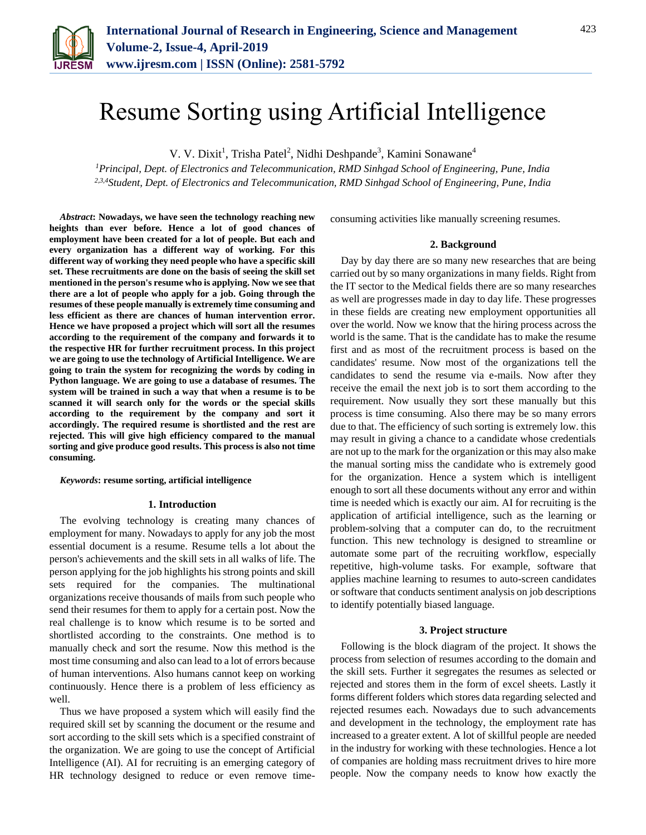

# Resume Sorting using Artificial Intelligence

V. V. Dixit<sup>1</sup>, Trisha Patel<sup>2</sup>, Nidhi Deshpande<sup>3</sup>, Kamini Sonawane<sup>4</sup>

*<sup>1</sup>Principal, Dept. of Electronics and Telecommunication, RMD Sinhgad School of Engineering, Pune, India 2,3,4Student, Dept. of Electronics and Telecommunication, RMD Sinhgad School of Engineering, Pune, India*

*Abstract***: Nowadays, we have seen the technology reaching new heights than ever before. Hence a lot of good chances of employment have been created for a lot of people. But each and every organization has a different way of working. For this different way of working they need people who have a specific skill set. These recruitments are done on the basis of seeing the skill set mentioned in the person's resume who is applying. Now we see that there are a lot of people who apply for a job. Going through the resumes of these people manually is extremely time consuming and less efficient as there are chances of human intervention error. Hence we have proposed a project which will sort all the resumes according to the requirement of the company and forwards it to the respective HR for further recruitment process. In this project we are going to use the technology of Artificial Intelligence. We are going to train the system for recognizing the words by coding in Python language. We are going to use a database of resumes. The system will be trained in such a way that when a resume is to be scanned it will search only for the words or the special skills according to the requirement by the company and sort it accordingly. The required resume is shortlisted and the rest are rejected. This will give high efficiency compared to the manual sorting and give produce good results. This process is also not time consuming.**

*Keywords***: resume sorting, artificial intelligence**

## **1. Introduction**

The evolving technology is creating many chances of employment for many. Nowadays to apply for any job the most essential document is a resume. Resume tells a lot about the person's achievements and the skill sets in all walks of life. The person applying for the job highlights his strong points and skill sets required for the companies. The multinational organizations receive thousands of mails from such people who send their resumes for them to apply for a certain post. Now the real challenge is to know which resume is to be sorted and shortlisted according to the constraints. One method is to manually check and sort the resume. Now this method is the most time consuming and also can lead to a lot of errors because of human interventions. Also humans cannot keep on working continuously. Hence there is a problem of less efficiency as well.

Thus we have proposed a system which will easily find the required skill set by scanning the document or the resume and sort according to the skill sets which is a specified constraint of the organization. We are going to use the concept of Artificial Intelligence (AI). AI for recruiting is an emerging category of HR technology designed to reduce or even remove timeconsuming activities like manually screening resumes.

## **2. Background**

Day by day there are so many new researches that are being carried out by so many organizations in many fields. Right from the IT sector to the Medical fields there are so many researches as well are progresses made in day to day life. These progresses in these fields are creating new employment opportunities all over the world. Now we know that the hiring process across the world is the same. That is the candidate has to make the resume first and as most of the recruitment process is based on the candidates' resume. Now most of the organizations tell the candidates to send the resume via e-mails. Now after they receive the email the next job is to sort them according to the requirement. Now usually they sort these manually but this process is time consuming. Also there may be so many errors due to that. The efficiency of such sorting is extremely low. this may result in giving a chance to a candidate whose credentials are not up to the mark for the organization or this may also make the manual sorting miss the candidate who is extremely good for the organization. Hence a system which is intelligent enough to sort all these documents without any error and within time is needed which is exactly our aim. AI for recruiting is the application of artificial intelligence, such as the learning or problem-solving that a computer can do, to the recruitment function. This new technology is designed to streamline or automate some part of the recruiting workflow, especially repetitive, high-volume tasks. For example, software that applies machine learning to resumes to auto-screen candidates or software that conducts sentiment analysis on job descriptions to identify potentially biased language.

## **3. Project structure**

Following is the block diagram of the project. It shows the process from selection of resumes according to the domain and the skill sets. Further it segregates the resumes as selected or rejected and stores them in the form of excel sheets. Lastly it forms different folders which stores data regarding selected and rejected resumes each. Nowadays due to such advancements and development in the technology, the employment rate has increased to a greater extent. A lot of skillful people are needed in the industry for working with these technologies. Hence a lot of companies are holding mass recruitment drives to hire more people. Now the company needs to know how exactly the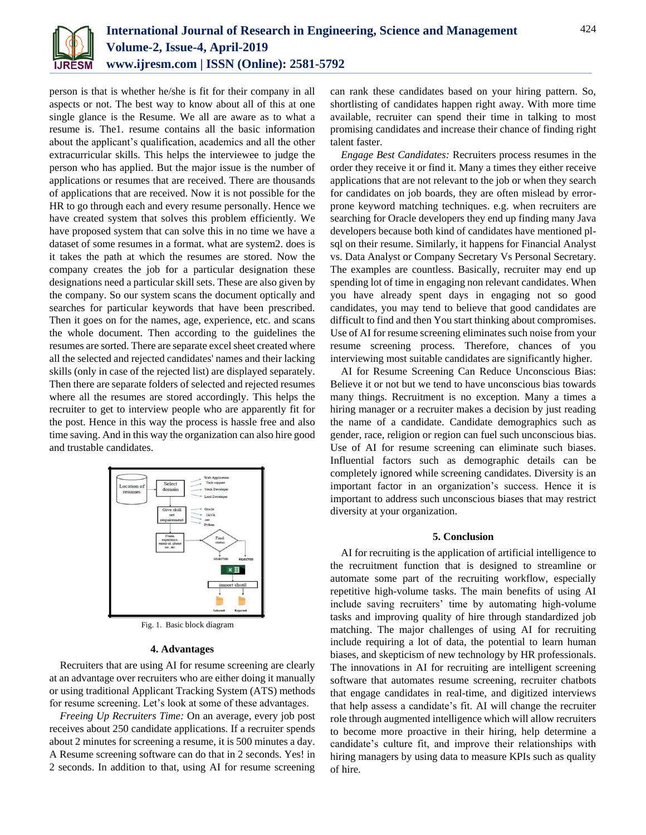

person is that is whether he/she is fit for their company in all aspects or not. The best way to know about all of this at one single glance is the Resume. We all are aware as to what a resume is. The1. resume contains all the basic information about the applicant's qualification, academics and all the other extracurricular skills. This helps the interviewee to judge the person who has applied. But the major issue is the number of applications or resumes that are received. There are thousands of applications that are received. Now it is not possible for the HR to go through each and every resume personally. Hence we have created system that solves this problem efficiently. We have proposed system that can solve this in no time we have a dataset of some resumes in a format. what are system2. does is it takes the path at which the resumes are stored. Now the company creates the job for a particular designation these designations need a particular skill sets. These are also given by the company. So our system scans the document optically and searches for particular keywords that have been prescribed. Then it goes on for the names, age, experience, etc. and scans the whole document. Then according to the guidelines the resumes are sorted. There are separate excel sheet created where all the selected and rejected candidates' names and their lacking skills (only in case of the rejected list) are displayed separately. Then there are separate folders of selected and rejected resumes where all the resumes are stored accordingly. This helps the recruiter to get to interview people who are apparently fit for the post. Hence in this way the process is hassle free and also time saving. And in this way the organization can also hire good and trustable candidates.



Fig. 1. Basic block diagram

# **4. Advantages**

Recruiters that are using AI for resume screening are clearly at an advantage over recruiters who are either doing it manually or using traditional Applicant Tracking System (ATS) methods for resume screening. Let's look at some of these advantages.

*Freeing Up Recruiters Time:* On an average, every job post receives about 250 candidate applications. If a recruiter spends about 2 minutes for screening a resume, it is 500 minutes a day. A Resume screening software can do that in 2 seconds. Yes! in 2 seconds. In addition to that, using AI for resume screening

can rank these candidates based on your hiring pattern. So, shortlisting of candidates happen right away. With more time available, recruiter can spend their time in talking to most promising candidates and increase their chance of finding right talent faster.

*Engage Best Candidates:* Recruiters process resumes in the order they receive it or find it. Many a times they either receive applications that are not relevant to the job or when they search for candidates on job boards, they are often mislead by errorprone keyword matching techniques. e.g. when recruiters are searching for Oracle developers they end up finding many Java developers because both kind of candidates have mentioned plsql on their resume. Similarly, it happens for Financial Analyst vs. Data Analyst or Company Secretary Vs Personal Secretary. The examples are countless. Basically, recruiter may end up spending lot of time in engaging non relevant candidates. When you have already spent days in engaging not so good candidates, you may tend to believe that good candidates are difficult to find and then You start thinking about compromises. Use of AI for resume screening eliminates such noise from your resume screening process. Therefore, chances of you interviewing most suitable candidates are significantly higher.

AI for Resume Screening Can Reduce Unconscious Bias: Believe it or not but we tend to have unconscious bias towards many things. Recruitment is no exception. Many a times a hiring manager or a recruiter makes a decision by just reading the name of a candidate. Candidate demographics such as gender, race, religion or region can fuel such unconscious bias. Use of AI for resume screening can eliminate such biases. Influential factors such as demographic details can be completely ignored while screening candidates. Diversity is an important factor in an organization's success. Hence it is important to address such unconscious biases that may restrict diversity at your organization.

## **5. Conclusion**

AI for recruiting is the application of artificial intelligence to the recruitment function that is designed to streamline or automate some part of the recruiting workflow, especially repetitive high-volume tasks. The main benefits of using AI include saving recruiters' time by automating high-volume tasks and improving quality of hire through standardized job matching. The major challenges of using AI for recruiting include requiring a lot of data, the potential to learn human biases, and skepticism of new technology by HR professionals. The innovations in AI for recruiting are intelligent screening software that automates resume screening, recruiter chatbots that engage candidates in real-time, and digitized interviews that help assess a candidate's fit. AI will change the recruiter role through augmented intelligence which will allow recruiters to become more proactive in their hiring, help determine a candidate's culture fit, and improve their relationships with hiring managers by using data to measure KPIs such as quality of hire.